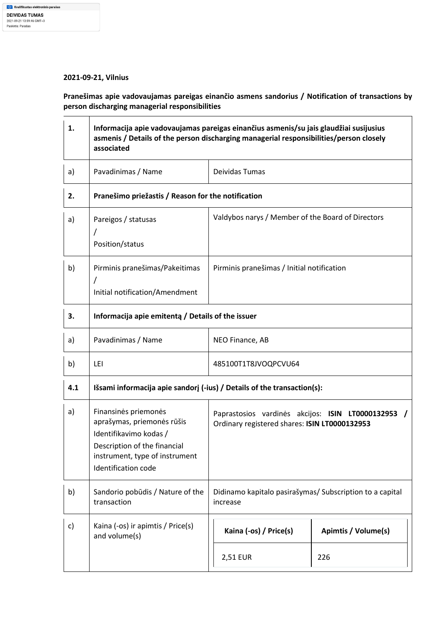## **2021-09-21, Vilnius**

**Pranešimas apie vadovaujamas pareigas einančio asmens sandorius / Notification of transactions by person discharging managerial responsibilities** 

| 1.  | Informacija apie vadovaujamas pareigas einančius asmenis/su jais glaudžiai susijusius<br>asmenis / Details of the person discharging managerial responsibilities/person closely<br>associated |                                                                                                     |                            |
|-----|-----------------------------------------------------------------------------------------------------------------------------------------------------------------------------------------------|-----------------------------------------------------------------------------------------------------|----------------------------|
| a)  | Pavadinimas / Name                                                                                                                                                                            | Deividas Tumas                                                                                      |                            |
| 2.  | Pranešimo priežastis / Reason for the notification                                                                                                                                            |                                                                                                     |                            |
| a)  | Pareigos / statusas<br>Position/status                                                                                                                                                        | Valdybos narys / Member of the Board of Directors                                                   |                            |
| b)  | Pirminis pranešimas/Pakeitimas<br>Initial notification/Amendment                                                                                                                              | Pirminis pranešimas / Initial notification                                                          |                            |
| 3.  | Informacija apie emitenta / Details of the issuer                                                                                                                                             |                                                                                                     |                            |
| a)  | Pavadinimas / Name                                                                                                                                                                            | NEO Finance, AB                                                                                     |                            |
| b)  | LEI                                                                                                                                                                                           | 485100T1T8JVOQPCVU64                                                                                |                            |
| 4.1 | Išsami informacija apie sandorį (-ius) / Details of the transaction(s):                                                                                                                       |                                                                                                     |                            |
| a)  | Finansinės priemonės<br>aprašymas, priemonės rūšis<br>Identifikavimo kodas /<br>Description of the financial<br>instrument, type of instrument<br>Identification code                         | Paprastosios vardinės akcijos: ISIN LT0000132953 /<br>Ordinary registered shares: ISIN LT0000132953 |                            |
| b)  | Sandorio pobūdis / Nature of the<br>transaction                                                                                                                                               | Didinamo kapitalo pasirašymas/ Subscription to a capital<br>increase                                |                            |
| c)  | Kaina (-os) ir apimtis / Price(s)<br>and volume(s)                                                                                                                                            | Kaina (-os) / Price(s)                                                                              | <b>Apimtis / Volume(s)</b> |
|     |                                                                                                                                                                                               | 2,51 EUR                                                                                            | 226                        |